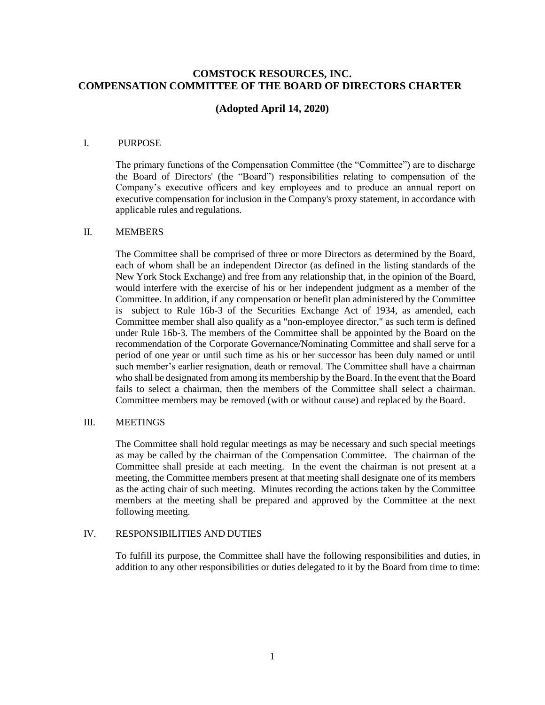# **COMSTOCK RESOURCES, INC. COMPENSATION COMMITTEE OF THE BOARD OF DIRECTORS CHARTER**

# **(Adopted April 14, 2020)**

## I. PURPOSE

The primary functions of the Compensation Committee (the "Committee") are to discharge the Board of Directors' (the "Board") responsibilities relating to compensation of the Company's executive officers and key employees and to produce an annual report on executive compensation for inclusion in the Company's proxy statement, in accordance with applicable rules and regulations.

### II. MEMBERS

The Committee shall be comprised of three or more Directors as determined by the Board, each of whom shall be an independent Director (as defined in the listing standards of the New York Stock Exchange) and free from any relationship that, in the opinion of the Board, would interfere with the exercise of his or her independent judgment as a member of the Committee. In addition, if any compensation or benefit plan administered by the Committee is subject to Rule 16b-3 of the Securities Exchange Act of 1934, as amended, each Committee member shall also qualify as a "non-employee director," as such term is defined under Rule 16b-3. The members of the Committee shall be appointed by the Board on the recommendation of the Corporate Governance/Nominating Committee and shall serve for a period of one year or until such time as his or her successor has been duly named or until such member's earlier resignation, death or removal. The Committee shall have a chairman who shall be designated from among its membership by the Board. In the event that the Board fails to select a chairman, then the members of the Committee shall select a chairman. Committee members may be removed (with or without cause) and replaced by the Board.

#### III. MEETINGS

The Committee shall hold regular meetings as may be necessary and such special meetings as may be called by the chairman of the Compensation Committee. The chairman of the Committee shall preside at each meeting. In the event the chairman is not present at a meeting, the Committee members present at that meeting shall designate one of its members as the acting chair of such meeting. Minutes recording the actions taken by the Committee members at the meeting shall be prepared and approved by the Committee at the next following meeting.

## IV. RESPONSIBILITIES AND DUTIES

To fulfill its purpose, the Committee shall have the following responsibilities and duties, in addition to any other responsibilities or duties delegated to it by the Board from time to time: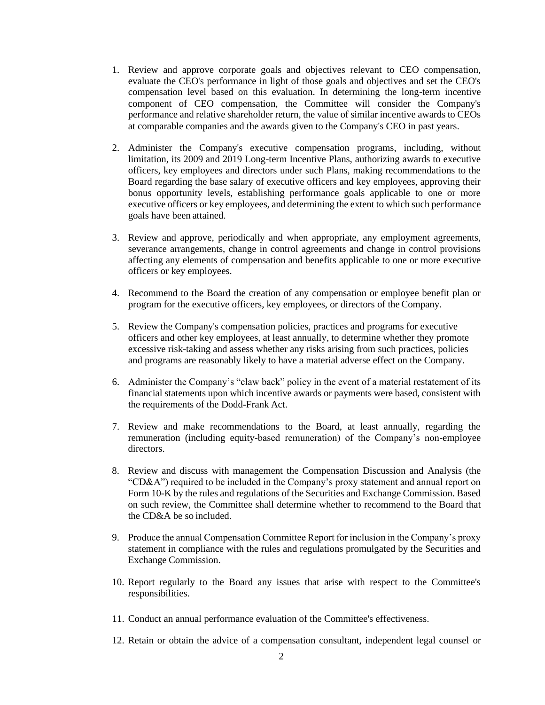- 1. Review and approve corporate goals and objectives relevant to CEO compensation, evaluate the CEO's performance in light of those goals and objectives and set the CEO's compensation level based on this evaluation. In determining the long-term incentive component of CEO compensation, the Committee will consider the Company's performance and relative shareholder return, the value of similar incentive awards to CEOs at comparable companies and the awards given to the Company's CEO in past years.
- 2. Administer the Company's executive compensation programs, including, without limitation, its 2009 and 2019 Long-term Incentive Plans, authorizing awards to executive officers, key employees and directors under such Plans, making recommendations to the Board regarding the base salary of executive officers and key employees, approving their bonus opportunity levels, establishing performance goals applicable to one or more executive officers or key employees, and determining the extent to which such performance goals have been attained.
- 3. Review and approve, periodically and when appropriate, any employment agreements, severance arrangements, change in control agreements and change in control provisions affecting any elements of compensation and benefits applicable to one or more executive officers or key employees.
- 4. Recommend to the Board the creation of any compensation or employee benefit plan or program for the executive officers, key employees, or directors of theCompany.
- 5. Review the Company's compensation policies, practices and programs for executive officers and other key employees, at least annually, to determine whether they promote excessive risk-taking and assess whether any risks arising from such practices, policies and programs are reasonably likely to have a material adverse effect on the Company.
- 6. Administer the Company's "claw back" policy in the event of a material restatement of its financial statements upon which incentive awards or payments were based, consistent with the requirements of the Dodd-Frank Act.
- 7. Review and make recommendations to the Board, at least annually, regarding the remuneration (including equity-based remuneration) of the Company's non-employee directors.
- 8. Review and discuss with management the Compensation Discussion and Analysis (the "CD&A") required to be included in the Company's proxy statement and annual report on Form 10-K by the rules and regulations of the Securities and Exchange Commission. Based on such review, the Committee shall determine whether to recommend to the Board that the CD&A be so included.
- 9. Produce the annual Compensation Committee Report for inclusion in the Company's proxy statement in compliance with the rules and regulations promulgated by the Securities and Exchange Commission.
- 10. Report regularly to the Board any issues that arise with respect to the Committee's responsibilities.
- 11. Conduct an annual performance evaluation of the Committee's effectiveness.
- 12. Retain or obtain the advice of a compensation consultant, independent legal counsel or